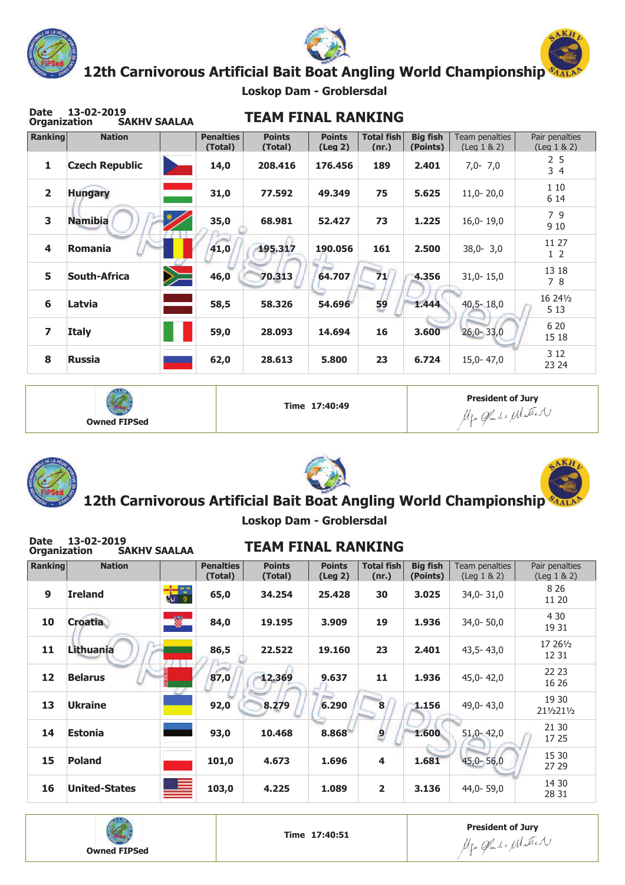

**Date 13-02-2019**





**12th Carnivorous Artificial Bait Boat Angling World Championship**

**Loskop Dam - Groblersdal**

| <b>Date</b><br><b>Organization</b> | 13-02-2019<br><b>SAKHV SAALAA</b> |            |                             | <b>TEAM FINAL RANKING</b> |                                |                            |                             |                                    |                                        |
|------------------------------------|-----------------------------------|------------|-----------------------------|---------------------------|--------------------------------|----------------------------|-----------------------------|------------------------------------|----------------------------------------|
| <b>Ranking</b>                     | <b>Nation</b>                     |            | <b>Penalties</b><br>(Total) | <b>Points</b><br>(Total)  | <b>Points</b><br>$($ Leg 2 $)$ | <b>Total fish</b><br>(nr.) | <b>Big fish</b><br>(Points) | Team penalties<br>$($ Leg $1 & 2)$ | Pair penalties<br>$($ Leg $1 & 8 & 2)$ |
| $\mathbf{1}$                       | <b>Czech Republic</b>             |            | 14,0                        | 208,416                   | 176,456                        | 189                        | 2.401                       | $7,0 - 7,0$                        | 2 <sub>5</sub><br>34                   |
| $\overline{2}$                     | <b>Hungary</b>                    |            | 31,0                        | 77.592                    | 49.349                         | 75                         | 5.625                       | $11,0-20,0$                        | 1 10<br>6 14                           |
| 3                                  | <b>Namibia</b>                    |            | 35,0                        | 68.981                    | 52.427                         | 73                         | 1.225                       | $16,0-19,0$                        | 79<br>9 10                             |
| $\overline{\mathbf{4}}$            | Romania                           |            | 41,0                        | 195.317                   | 190.056                        | 161                        | 2.500                       | $38,0 - 3,0$                       | 11 27<br>1 <sub>2</sub>                |
| 5                                  | South-Africa                      | $\searrow$ | 46,0                        | 70.313                    | 64.707                         | 71                         | 4.356                       | $31,0-15,0$                        | 13 18<br>78                            |
| 6                                  | Latvia                            |            | 58,5                        | 58,326                    | 54.696                         | 59                         | 1.444                       | $40,5 - 18,0$                      | 16 24 1/2<br>5 1 3                     |
| $\overline{\mathbf{z}}$            | <b>Italy</b>                      |            | 59,0                        | 28.093                    | 14.694                         | 16                         | 3.600                       | $26,0 - 33,0$                      | 6 20<br>15 18                          |
| 8                                  | <b>Russia</b>                     |            | 62,0                        | 28,613                    | 5,800                          | 23                         | 6.724                       | 15,0-47,0                          | 3 1 2<br>23 24                         |

| <b>Owned FIPSed</b> | Time 17:40:49 | <b>President of Jury</b><br>Me Clarks Matter |
|---------------------|---------------|----------------------------------------------|
|---------------------|---------------|----------------------------------------------|







# **12th Carnivorous Artificial Bait Boat Angling World Championship**

**Loskop Dam - Groblersdal**

| <b>Date</b><br><b>Organization</b> | 13-02-2019<br><b>SAKHV SAALAA</b> |                             | <b>TEAM FINAL RANKING</b> |                          |                            |                             |                                    |                                        |
|------------------------------------|-----------------------------------|-----------------------------|---------------------------|--------------------------|----------------------------|-----------------------------|------------------------------------|----------------------------------------|
| <b>Ranking</b>                     | <b>Nation</b>                     | <b>Penalties</b><br>(Total) | <b>Points</b><br>(Total)  | <b>Points</b><br>(Leg 2) | <b>Total fish</b><br>(nr.) | <b>Big fish</b><br>(Points) | Team penalties<br>$($ Leg $1 & 2)$ | Pair penalties<br>$($ Leg $1 & 8 & 2)$ |
| 9                                  | <b>Ireland</b>                    | $\frac{1}{N}$<br>65,0       | 34.254                    | 25.428                   | 30                         | 3.025                       | $34,0 - 31,0$                      | 8 2 6<br>11 20                         |
| 10                                 | <b>Croatia</b>                    | $\bullet$<br>84,0           | 19.195                    | 3.909                    | 19                         | 1.936                       | $34,0 - 50,0$                      | 4 30<br>19 31                          |
| 11                                 | Lithuania                         | 86,5                        | 22.522                    | 19.160                   | 23                         | 2.401                       | $43,5 - 43,0$                      | 17 261/2<br>12 31                      |
| 12                                 | <b>Belarus</b>                    | 87,0                        | 12.369                    | 9.637                    | 11                         | 1.936                       | $45,0 - 42,0$                      | 22 23<br>16 26                         |
| 13                                 | <b>Ukraine</b>                    | 92,0                        | 8.279                     | 6.290                    | 8                          | 1.156                       | 49,0-43,0                          | 19 30<br>211/2211/2                    |
| 14                                 | <b>Estonia</b>                    | 93,0                        | 10.468                    | 8.868                    | $\vert 9 \vert$            | 1.600                       | $51,0 - 42,0$                      | 21 30<br>17 25                         |
| 15                                 | <b>Poland</b>                     | 101,0                       | 4.673                     | 1.696                    | 4                          | 1.681                       | $45,0 - 56,0$                      | 15 30<br>27 29                         |
| 16                                 | <b>United-States</b>              | 103,0                       | 4.225                     | 1.089                    | $\overline{2}$             | 3.136                       | 44,0-59,0                          | 14 30<br>28 31                         |



**President of Jury**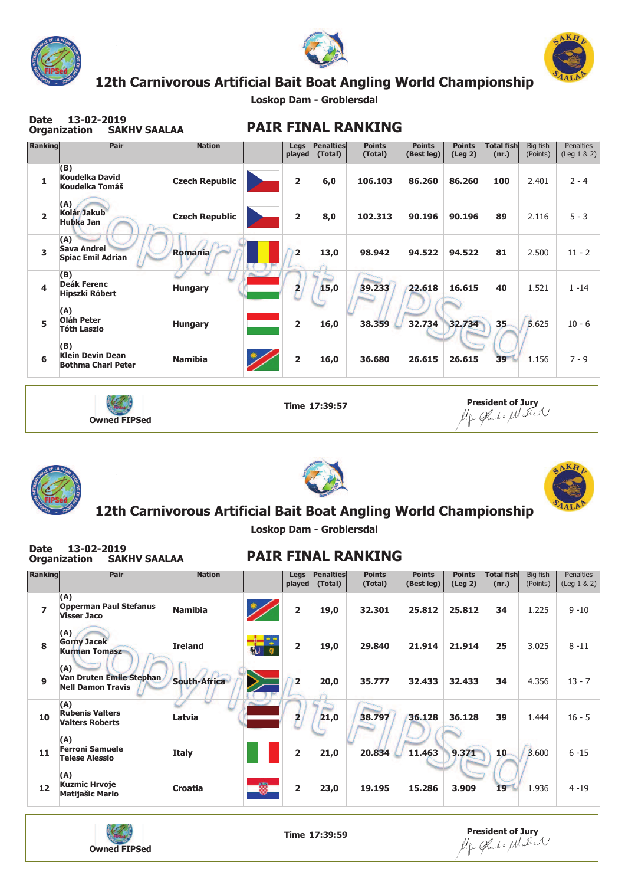

**Date 13-02-2019**





## **12th Carnivorous Artificial Bait Boat Angling World Championship**

**Loskop Dam - Groblersdal**

| Ranking        | Pair                                                        | <b>Nation</b>         | Legs<br>played | <b>Penalties</b><br>(Total) | <b>Points</b><br>(Total) | <b>Points</b><br>(Best leg) | <b>Points</b><br>$($ Leg 2 $)$ | <b>Total fish</b><br>(nr.) | Big fish<br>(Points) | <b>Penalties</b><br>$($ Leg $1 & 8 & 2)$ |
|----------------|-------------------------------------------------------------|-----------------------|----------------|-----------------------------|--------------------------|-----------------------------|--------------------------------|----------------------------|----------------------|------------------------------------------|
| 1              | (B)<br><b>Koudelka David</b><br>Koudelka Tomáš              | <b>Czech Republic</b> | $\overline{2}$ | 6,0                         | 106.103                  | 86.260                      | 86.260                         | 100                        | 2.401                | $2 - 4$                                  |
| $\overline{2}$ | (A)<br>Kolár Jakub<br><b>Hubka Jan</b>                      | <b>Czech Republic</b> | $\overline{2}$ | 8,0                         | 102.313                  | 90.196                      | 90.196                         | 89                         | 2.116                | $5 - 3$                                  |
| 3              | (A)<br><b>Sava Andrei</b><br><b>Spiac Emil Adrian</b>       | Romania               | $\overline{2}$ | 13,0                        | 98.942                   | 94.522                      | 94.522                         | 81                         | 2.500                | $11 - 2$                                 |
| 4              | (B)<br><b>Deák Ferenc</b><br>Hipszki Róbert                 | <b>Hungary</b>        | 2              | 15,0                        | 39.233                   | 22.618                      | 16.615                         | 40                         | 1.521                | $1 - 14$                                 |
| 5              | (A)<br>Oláh Peter<br><b>Tóth Laszlo</b>                     | <b>Hungary</b>        | $\overline{2}$ | 16,0                        | 38.359                   | 32.734                      | 32.734                         | $35 -$                     | 5.625                | $10 - 6$                                 |
| 6              | (B)<br><b>Klein Devin Dean</b><br><b>Bothma Charl Peter</b> | <b>Namibia</b>        | $\overline{2}$ | 16,0                        | 36.680                   | 26.615                      | 26.615                         | 39                         | 1.156                | $7 - 9$                                  |









### **12th Carnivorous Artificial Bait Boat Angling World Championship**

**Loskop Dam - Groblersdal**

| <b>Date</b>              | 13-02-2019<br><b>SAKHV SAALAA</b><br>Organization           |                     |   |                         |                             | <b>PAIR FINAL RANKING</b> |                             |                          |                            |                      |                                          |
|--------------------------|-------------------------------------------------------------|---------------------|---|-------------------------|-----------------------------|---------------------------|-----------------------------|--------------------------|----------------------------|----------------------|------------------------------------------|
| Ranking                  | Pair                                                        | <b>Nation</b>       |   | Legs<br>played          | <b>Penalties</b><br>(Total) | <b>Points</b><br>(Total)  | <b>Points</b><br>(Best leg) | <b>Points</b><br>(Leg 2) | <b>Total fish</b><br>(nr.) | Big fish<br>(Points) | <b>Penalties</b><br>$($ Leg $1 & 8 & 2)$ |
| $\overline{\phantom{a}}$ | (A)<br><b>Opperman Paul Stefanus</b><br><b>Visser Jaco</b>  | <b>Namibia</b>      |   | $\overline{2}$          | 19,0                        | 32.301                    | 25,812                      | 25.812                   | 34                         | 1.225                | $9 - 10$                                 |
| $\mathbf{R}$             | (A)<br><b>Gorny Jacek</b><br><b>Kurman Tomasz</b>           | <b>Ireland</b>      |   | $\overline{\mathbf{2}}$ | 19,0                        | 29.840                    | 21.914                      | 21.914                   | 25                         | 3.025                | $8 - 11$                                 |
| $\mathbf{Q}$             | (A)<br>Van Druten Emile Stephan<br><b>Nell Damon Travis</b> | <b>South-Africa</b> |   | $\overline{2}$          | 20,0                        | 35.777                    | 32.433                      | 32.433                   | 34                         | 4.356                | $13 - 7$                                 |
| 10                       | (A)<br><b>Rubenis Valters</b><br><b>Valters Roberts</b>     | Latvia              |   | 2                       | 21,0                        | 38.797                    | 36.128                      | 36.128                   | 39                         | 1.444                | $16 - 5$                                 |
| 11                       | (A)<br><b>Ferroni Samuele</b><br><b>Telese Alessio</b>      | <b>Italy</b>        |   | $\overline{2}$          | 21,0                        | 20.834                    | 11.463                      | 9.371                    | 10 <sub>1</sub>            | 3,600                | $6 - 15$                                 |
| 12                       | (A)<br><b>Kuzmic Hrvoje</b><br><b>Matijašic Mario</b>       | Croatia             | ۰ | $\overline{2}$          | 23,0                        | 19.195                    | 15.286                      | 3.909                    | 19                         | 1.936                | $4 - 19$                                 |
|                          |                                                             |                     |   |                         |                             |                           |                             |                          |                            |                      |                                          |

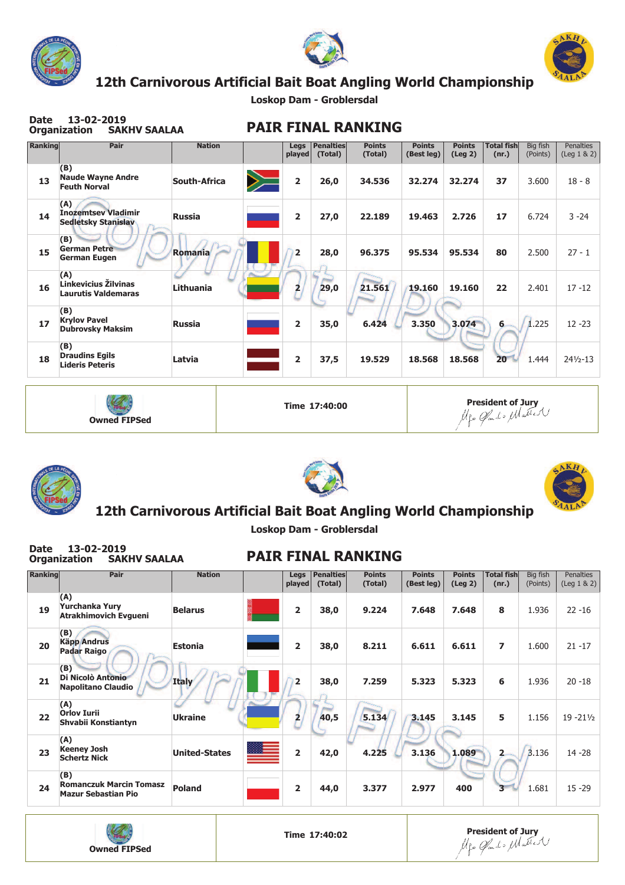

**Date 13-02-2019**





## **12th Carnivorous Artificial Bait Boat Angling World Championship**

**Loskop Dam - Groblersdal**

| Date    | 13-02-2019<br><b>SAKHV SAALAA</b><br><b>Organization</b>        |                     |                         |                             | <b>PAIR FINAL RANKING</b> |                             |                          |                            |                      |                                      |
|---------|-----------------------------------------------------------------|---------------------|-------------------------|-----------------------------|---------------------------|-----------------------------|--------------------------|----------------------------|----------------------|--------------------------------------|
| Ranking | Pair                                                            | <b>Nation</b>       | Legs<br>played          | <b>Penalties</b><br>(Total) | <b>Points</b><br>(Total)  | <b>Points</b><br>(Best leg) | <b>Points</b><br>(Leg 2) | <b>Total fish</b><br>(nr.) | Big fish<br>(Points) | <b>Penalties</b><br>$($ Leg $1 & 2)$ |
| 13      | (B)<br><b>Naude Wayne Andre</b><br><b>Feuth Norval</b>          | <b>South-Africa</b> | $\overline{2}$          | 26,0                        | 34.536                    | 32.274                      | 32.274                   | 37                         | 3.600                | $18 - 8$                             |
| 14      | (A)<br><b>Inozemtsey Vladimir</b><br><b>Sedletsky Stanislav</b> | <b>Russia</b>       | 2                       | 27,0                        | 22.189                    | 19.463                      | 2.726                    | 17                         | 6.724                | $3 - 24$                             |
| 15      | (B)<br><b>German Petre</b><br><b>German Eugen</b>               | Romania             | $\overline{2}$          | 28,0                        | 96.375                    | 95.534                      | 95.534                   | 80                         | 2.500                | $27 - 1$                             |
| 16      | (A)<br>Linkevicius Žilvinas<br><b>Laurutis Valdemaras</b>       | Lithuania           | $\overline{\mathbf{2}}$ | 29,0                        | 21.561                    | 19.160                      | 19.160                   | 22                         | 2.401                | $17 - 12$                            |
| 17      | (B)<br><b>Krylov Pavel</b><br><b>Dubrovsky Maksim</b>           | <b>Russia</b>       | $\overline{2}$          | 35,0                        | 6.424                     | 3.350                       | 3.074                    | 6                          | 1.225                | $12 - 23$                            |
| 18      | (B)<br><b>Draudins Egils</b><br><b>Lideris Peteris</b>          | Latvia              | 2                       | 37,5                        | 19.529                    | 18.568                      | 18.568                   | 20                         | 1.444                | $24\frac{1}{2} - 13$                 |
|         |                                                                 |                     |                         |                             |                           |                             |                          |                            |                      |                                      |

| <b>Owned FIPSed</b> | Time 17:40:00 | <b>President of Jury</b><br>Me Clarato Matter |
|---------------------|---------------|-----------------------------------------------|
|---------------------|---------------|-----------------------------------------------|







Penalties (Leg 1 & 2)

22 -16

21 -17

20 -18

19 -21½

14 -28

15 -29

#### **12th Carnivorous Artificial Bait Boat Angling World Championship**

**Loskop Dam - Groblersdal**

| Date           | 13-02-2019<br>Organization<br><b>SAKHV SAALAA</b>                   |                      | <b>PAIR FINAL RANKING</b> |                |                             |                          |                             |                                |                            |                      |  |  |
|----------------|---------------------------------------------------------------------|----------------------|---------------------------|----------------|-----------------------------|--------------------------|-----------------------------|--------------------------------|----------------------------|----------------------|--|--|
| <b>Ranking</b> | Pair                                                                | <b>Nation</b>        |                           | Legs<br>played | <b>Penalties</b><br>(Total) | <b>Points</b><br>(Total) | <b>Points</b><br>(Best leg) | <b>Points</b><br>$($ Leg 2 $)$ | <b>Total fish</b><br>(nr.) | Big fish<br>(Points) |  |  |
| 19             | (A)<br>Yurchanka Yury<br><b>Atrakhimovich Evgueni</b>               | <b>Belarus</b>       |                           | 2              | 38,0                        | 9.224                    | 7.648                       | 7.648                          | 8                          | 1.936                |  |  |
| 20             | (B)<br><b>Käpp Andrus</b><br><b>Padar Raigo</b>                     | <b>Estonia</b>       |                           | $\overline{2}$ | 38,0                        | 8.211                    | 6.611                       | 6.611                          | $\overline{ }$             | 1.600                |  |  |
| 21             | (B)<br>Di Nicolò Antonio<br><b>Napolitano Claudio</b>               | <b>Italy</b>         |                           | $\overline{2}$ | 38,0                        | 7.259                    | 5.323                       | 5.323                          | 6                          | 1.936                |  |  |
| 22             | (A)<br><b>Orlov Iurii</b><br>Shvabii Konstiantyn                    | <b>Ukraine</b>       |                           | $\overline{2}$ | 40,5                        | 5.134                    | 3.145                       | 3.145                          | 5                          | 1.156                |  |  |
| 23             | (A)<br><b>Keeney Josh</b><br><b>Schertz Nick</b>                    | <b>United-States</b> |                           | $\overline{2}$ | 42,0                        | 4.225                    | 3.136                       | 1.089                          | $\overline{2}$             | 3.136                |  |  |
| 24             | (B)<br><b>Romanczuk Marcin Tomasz</b><br><b>Mazur Sebastian Pio</b> | <b>Poland</b>        |                           | $\overline{2}$ | 44,0                        | 3.377                    | 2.977                       | 400                            |                            | 1.681                |  |  |

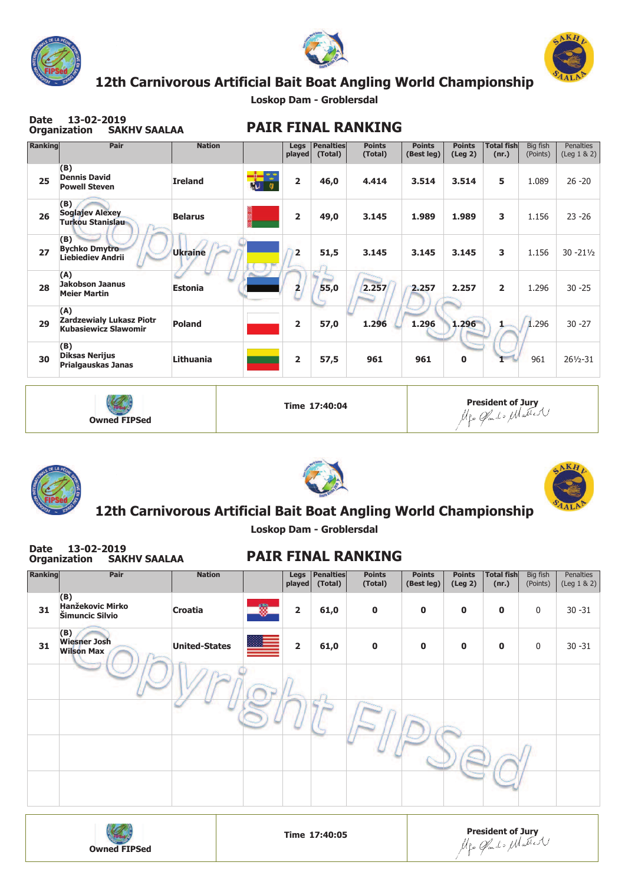





## **12th Carnivorous Artificial Bait Boat Angling World Championship**

**Loskop Dam - Groblersdal**

| Ranking | Pair                                                                  | <b>Nation</b>  | Legs<br>played | <b>Penalties</b><br>(Total) | <b>Points</b><br>(Total) | <b>Points</b><br>(Best leg) | <b>Points</b><br>(Leg 2) | <b>Total fish</b><br>(nr.) | Big fish<br>(Points) | <b>Penalties</b><br>$($ Leg $1 & 2)$ |
|---------|-----------------------------------------------------------------------|----------------|----------------|-----------------------------|--------------------------|-----------------------------|--------------------------|----------------------------|----------------------|--------------------------------------|
| 25      | (B)<br><b>Dennis David</b><br><b>Powell Steven</b>                    | <b>Ireland</b> | $\overline{2}$ | 46,0                        | 4.414                    | 3.514                       | 3.514                    | 5                          | 1.089                | $26 - 20$                            |
| 26      | (B)<br><b>Soglajev Alexey</b><br><b>Turkou Stanislau</b>              | <b>Belarus</b> | $\overline{2}$ | 49,0                        | 3.145                    | 1.989                       | 1.989                    | 3                          | 1.156                | $23 - 26$                            |
| 27      | (B)<br><b>Bychko Dmytro</b><br><b>Liebiediev Andrii</b>               | <b>Ukraine</b> | $\overline{2}$ | 51,5                        | 3.145                    | 3.145                       | 3.145                    | 3                          | 1.156                | $30 - 21\frac{1}{2}$                 |
| 28      | (A)<br><b>Jakobson Jaanus</b><br><b>Meier Martin</b>                  | <b>Estonia</b> | 2              | 55,0                        | 2.257                    | 2.257                       | 2.257                    | $\overline{2}$             | 1.296                | $30 - 25$                            |
| 29      | (A)<br><b>Zardzewialy Lukasz Piotr</b><br><b>Kubasiewicz Slawomir</b> | <b>Poland</b>  | $\overline{2}$ | 57,0                        | 1.296                    | 1.296                       | 1.296                    |                            | 1.296                | $30 - 27$                            |
| 30      | (B)<br><b>Diksas Nerijus</b><br>Prialgauskas Janas                    | Lithuania      | $\overline{2}$ | 57,5                        | 961                      | 961                         | $\mathbf 0$              |                            | 961                  | $26\frac{1}{2} - 31$                 |









### **12th Carnivorous Artificial Bait Boat Angling World Championship**

**Loskop Dam - Groblersdal**

| <b>Date</b> | 13-02-2019<br><b>Organization</b><br><b>SAKHV SAALAA</b> |                      |   |                |                      | <b>PAIR FINAL RANKING</b> |                             |                                |                            |                      |                               |
|-------------|----------------------------------------------------------|----------------------|---|----------------|----------------------|---------------------------|-----------------------------|--------------------------------|----------------------------|----------------------|-------------------------------|
| Ranking     | Pair                                                     | <b>Nation</b>        |   | Legs<br>played | Penalties<br>(Total) | <b>Points</b><br>(Total)  | <b>Points</b><br>(Best leg) | <b>Points</b><br>$($ Leg 2 $)$ | <b>Total fish</b><br>(nr.) | Big fish<br>(Points) | Penalties<br>$($ Leg $1 & 2)$ |
| 31          | (B)<br><b>Hanžekovic Mirko</b><br>Šimuncic Silvio        | Croatia              | ۰ | $\overline{2}$ | 61,0                 | $\mathbf 0$               | $\mathbf 0$                 | 0                              | $\mathbf 0$                | $\mathbf{0}$         | $30 - 31$                     |
| 31          | (B)<br><b>Wiesner Josh</b><br><b>Wilson Max</b>          | <b>United-States</b> |   | $\overline{2}$ | 61,0                 | $\mathbf 0$               | $\mathbf 0$                 | $\bf{0}$                       | $\mathbf 0$                | $\mathbf{0}$         | $30 - 31$                     |
|             |                                                          |                      |   |                |                      |                           |                             |                                |                            |                      |                               |
|             |                                                          |                      |   |                |                      |                           |                             |                                |                            |                      |                               |
|             |                                                          |                      |   |                |                      |                           |                             |                                |                            |                      |                               |
|             |                                                          |                      |   |                |                      |                           |                             |                                |                            |                      |                               |



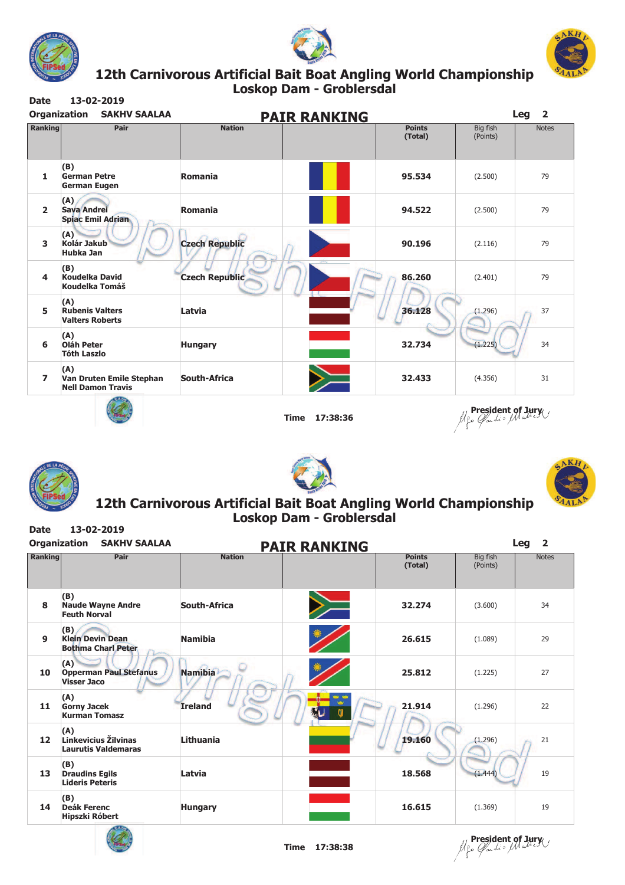





#### **Loskop Dam - Groblersdal Date 13-02-2019 12th Carnivorous Artificial Bait Boat Angling World . Championship**

| <b>Ranking</b> | Pair                                                        | <b>PAIR RANKING</b><br><b>Nation</b> | <b>Points</b><br>(Total) | Big fish<br>(Points) | <b>Notes</b> |
|----------------|-------------------------------------------------------------|--------------------------------------|--------------------------|----------------------|--------------|
| 1              | (B)<br><b>German Petre</b><br><b>German Eugen</b>           | Romania                              | 95.534                   | (2.500)              | 79           |
| $\overline{2}$ | (A)<br><b>Sava Andrei</b><br><b>Spiac Emil Adrian</b>       | <b>Romania</b>                       | 94.522                   | (2.500)              | 79           |
| 3              | (A)<br>Kolár Jakub<br><b>Hubka Jan</b>                      | <b>Czech Republic</b>                | 90.196                   | (2.116)              | 79           |
| 4              | (B)<br><b>Koudelka David</b><br>Koudelka Tomáš              | <b>Czech Republic</b>                | 86.260                   | (2.401)              | 79           |
| 5              | (A)<br><b>Rubenis Valters</b><br><b>Valters Roberts</b>     | Latvia                               | 36.128                   | (1.296)              | 37           |
| 6              | (A)<br><b>Oláh Peter</b><br><b>Tóth Laszlo</b>              | <b>Hungary</b>                       | 32.734                   | (1, 225)             | 34           |
| $\overline{ }$ | (A)<br>Van Druten Emile Stephan<br><b>Nell Damon Travis</b> | South-Africa                         | 32.433                   | (4.356)              | 31           |
|                |                                                             | <b>Time</b>                          | 17:38:36                 | president of Jury    |              |







#### **Loskop Dam - Groblersdal Date 13-02-2019 12th Carnivorous Artificial Bait Boat Angling World . Championship**

| <b>Organization</b> | <b>SAKHV SAALAA</b>                                         | <b>PAIR RANKING</b>       |                          |                      | Leg<br>$\overline{2}$ |
|---------------------|-------------------------------------------------------------|---------------------------|--------------------------|----------------------|-----------------------|
| <b>Ranking</b>      | Pair                                                        | <b>Nation</b>             | <b>Points</b><br>(Total) | Big fish<br>(Points) | <b>Notes</b>          |
| 8                   | (B)<br><b>Naude Wayne Andre</b><br><b>Feuth Norval</b>      | <b>South-Africa</b><br>ノー | 32.274                   | (3.600)              | 34                    |
| 9                   | (B)<br><b>Klein Devin Dean</b><br><b>Bothma Charl Peter</b> | <b>Namibia</b>            | 26.615                   | (1.089)              | 29                    |
| 10                  | (A)<br><b>Opperman Paul Stefanus</b><br><b>Visser Jaco</b>  | <b>Namibia</b>            | 25.812                   | (1.225)              | 27                    |
| 11                  | (A)<br><b>Gorny Jacek</b><br><b>Kurman Tomasz</b>           | <b>Ireland</b>            | 21.914                   | (1.296)              | 22                    |
| 12                  | (A)<br>Linkevicius Žilvinas<br><b>Laurutis Valdemaras</b>   | Lithuania                 | 19.160                   | (1.296)              | 21                    |
| 13                  | (B)<br><b>Draudins Egils</b><br><b>Lideris Peteris</b>      | Latvia                    | 18.568                   | (1, 444)             | 19                    |
| 14                  | (B)<br><b>Deák Ferenc</b><br>Hipszki Róbert<br>$-100$       | <b>Hungary</b>            | 16.615                   | (1.369)              | 19                    |



**President of Jury**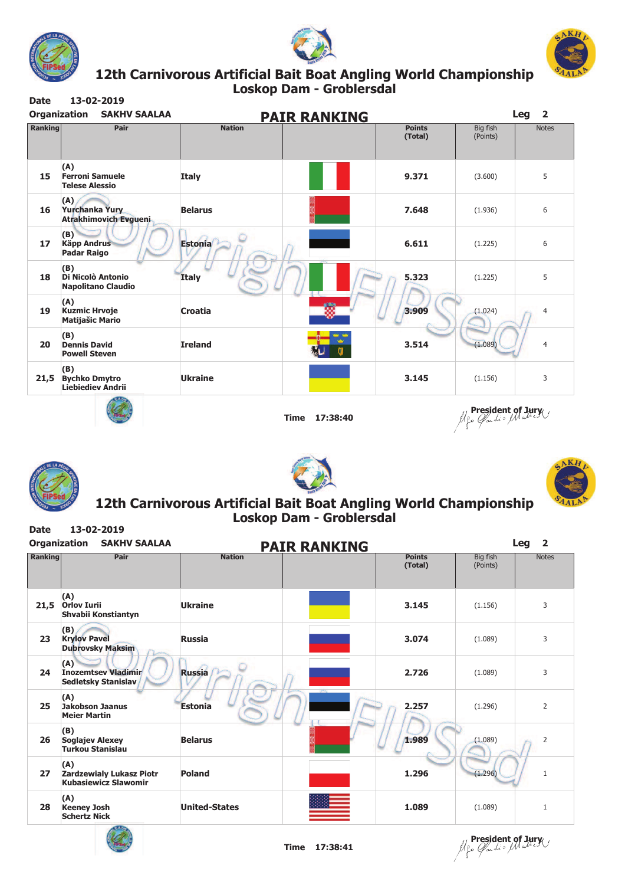





#### **Loskop Dam - Groblersdal Date 13-02-2019 12th Carnivorous Artificial Bait Boat Angling World . Championship**

| <b>SAKHV SAALAA</b>                                     |                                       |                          |                      | Leg<br>$\overline{2}$ |
|---------------------------------------------------------|---------------------------------------|--------------------------|----------------------|-----------------------|
| Pair                                                    | <b>Nation</b>                         | <b>Points</b><br>(Total) | Big fish<br>(Points) | <b>Notes</b>          |
| (A)<br><b>Ferroni Samuele</b><br><b>Telese Alessio</b>  | <b>Italy</b>                          | 9.371                    | (3.600)              | 5                     |
| (A)<br>Yurchanka Yury<br><b>Atrakhimovich Evgueni</b>   | <b>Belarus</b>                        | 7.648                    | (1.936)              | 6                     |
| (B)<br><b>Käpp Andrus</b><br><b>Padar Raigo</b>         | <b>Estonia</b>                        | 6.611                    | (1.225)              | 6                     |
| (B)<br>Di Nicolò Antonio<br><b>Napolitano Claudio</b>   | <b>Italy</b>                          | 5.323                    | (1.225)              | 5                     |
| (A)<br><b>Kuzmic Hrvoje</b><br><b>Matijašic Mario</b>   | Croatia                               | 3.909                    | (1.024)              | 4                     |
| (B)<br><b>Dennis David</b><br><b>Powell Steven</b>      | <b>Ireland</b>                        | 3.514                    | (1.089)              | $\overline{4}$        |
| (B)<br><b>Bychko Dmytro</b><br><b>Liebiediev Andrii</b> | <b>Ukraine</b>                        | 3.145                    | (1.156)              | 3                     |
|                                                         | <b>Organization</b><br><b>Ranking</b> |                          | <b>PAIR RANKING</b>  |                       |



**Time 17:38:40**

**President of Jury**







#### **Loskop Dam - Groblersdal Date 13-02-2019 12th Carnivorous Artificial Bait Boat Angling World . Championship**

| <b>Organization</b> | <b>SAKHV SAALAA</b>                                                   |                      | <b>PAIR RANKING</b>      |                      | Leg<br>$\overline{2}$ |
|---------------------|-----------------------------------------------------------------------|----------------------|--------------------------|----------------------|-----------------------|
| <b>Ranking</b>      | Pair                                                                  | <b>Nation</b>        | <b>Points</b><br>(Total) | Big fish<br>(Points) | <b>Notes</b>          |
| 21,5                | (A)<br><b>Orlov Iurii</b><br>Shvabii Konstiantyn                      | <b>Ukraine</b>       | 3.145                    | (1.156)              | 3                     |
| 23                  | (B)<br><b>Krylov Pavel</b><br><b>Dubrovsky Maksim</b>                 | <b>Russia</b>        | 3.074                    | (1.089)              | 3                     |
| 24                  | (A)<br><b>Inozemtsev Vladimir</b><br><b>Sedletsky Stanislav</b>       | <b>Russia</b>        | 2.726                    | (1.089)              | 3                     |
| 25                  | (A)<br><b>Jakobson Jaanus</b><br><b>Meier Martin</b>                  | <b>Estonia</b>       | 2.257                    | (1.296)              | $\overline{2}$        |
| 26                  | (B)<br><b>Soglajev Alexey</b><br><b>Turkou Stanislau</b>              | <b>Belarus</b>       | 1.989                    | (1.089)              | $\overline{2}$        |
| 27                  | (A)<br><b>Zardzewialy Lukasz Piotr</b><br><b>Kubasiewicz Slawomir</b> | <b>Poland</b>        | 1.296                    | (1.296)              | $\mathbf{1}$          |
| 28                  | (A)<br><b>Keeney Josh</b><br><b>Schertz Nick</b>                      | <b>United-States</b> | 1.089                    | (1.089)              | 1                     |



**President of Jury**